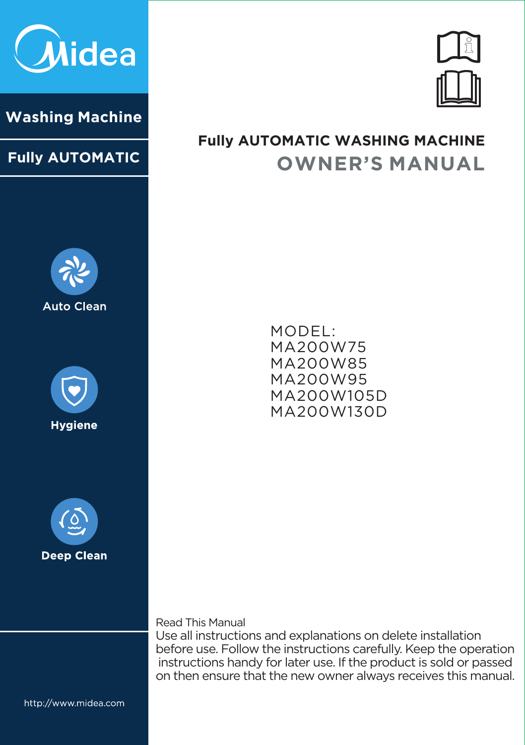

#### **Washing Machine**

#### **Fully AUTOMATIC**







## **OWNER'S MANUAL Fully AUTOMATIC WASHING MACHINE**

**MODEL: MA200W75 MA200W85 MA200W95 MA200W105D MA200W130D**

**Read This Manual**

**Use all instructions and explanations on delete installation before use. Follow the instructions carefully. Keep the operation instructions handy for later use. If the product is sold or passed on then ensure that the new owner always receives this manual.**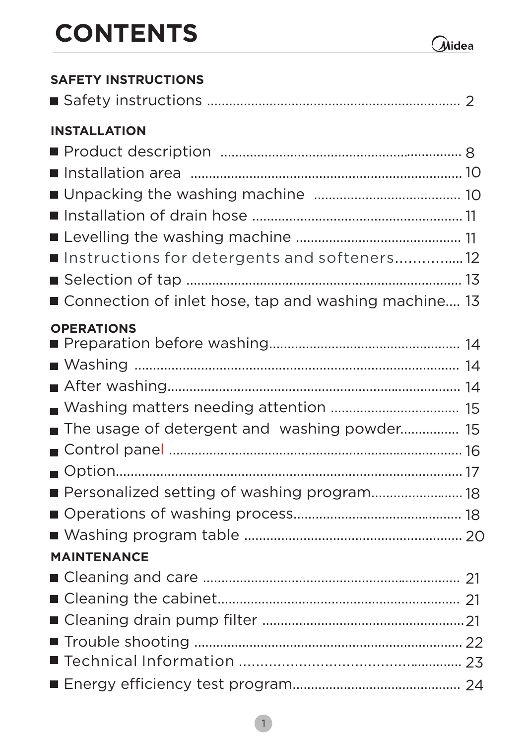# **CONTENTS**

| <b>SAFETY INSTRUCTIONS</b>                                         |  |
|--------------------------------------------------------------------|--|
|                                                                    |  |
| <b>INSTALLATION</b><br>Instructions for detergents and softeners12 |  |
| ■ Connection of inlet hose, tap and washing machine 13             |  |
| <b>OPERATIONS</b><br>The usage of detergent and washing powder 15  |  |
| ■ Personalized setting of washing program 18                       |  |
| <b>MAINTENANCE</b>                                                 |  |
|                                                                    |  |
|                                                                    |  |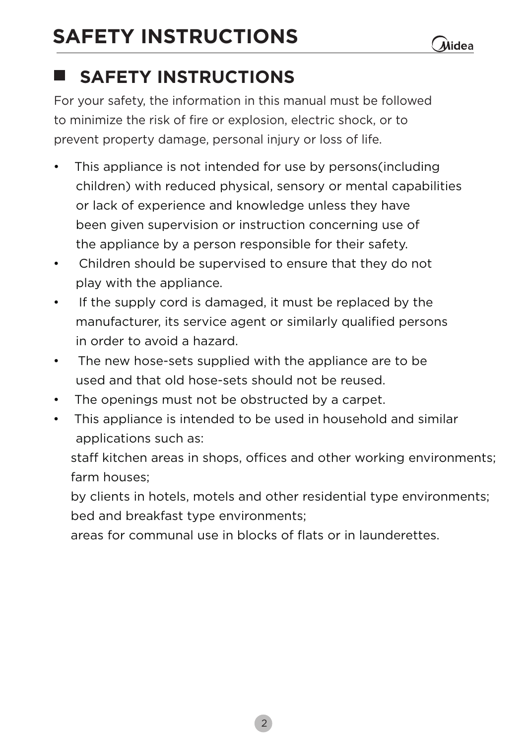# **SAFETY INSTRUCTIONS**

#### **SAFETY INSTRUCTIONS** ш

**For your safety, the information in this manual must be followed to minimize the risk of fire or explosion, electric shock, or to prevent property damage, personal injury or loss of life.**

- **This appliance is not intended for use by persons(including children) with reduced physical, sensory or mental capabilities or lack of experience and knowledge unless they have been given supervision or instruction concerning use of the appliance by a person responsible for their safety.**
- **Children should be supervised to ensure that they do not play with the appliance.**
- **If the supply cord is damaged, it must be replaced by the manufacturer, its service agent or similarly qualified persons in order to avoid a hazard.**
- **The new hose-sets supplied with the appliance are to be used and that old hose-sets should not be reused.**
- **The openings must not be obstructed by a carpet.**
- **This appliance is intended to be used in household and similar applications such as:**

 **staff kitchen areas in shops, offices and other working environments; farm houses;** 

 **by clients in hotels, motels and other residential type environments; bed and breakfast type environments;** 

 **areas for communal use in blocks of flats or in launderettes.**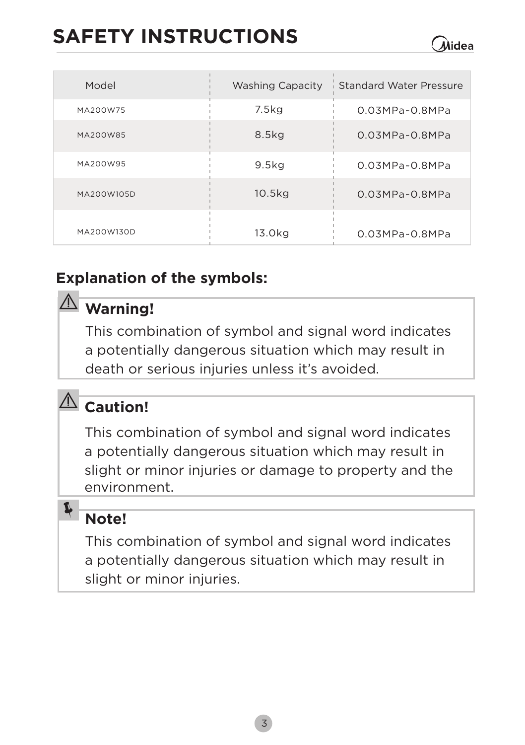# **SAFETY INSTRUCTIONS**

| Model      | <b>Washing Capacity</b> | Standard Water Pressure |
|------------|-------------------------|-------------------------|
| MA200W75   | 7.5kg                   | $0.03MPa - 0.8MPa$      |
| MA200W85   | 8.5kg                   | $0.03MPa - 0.8MPa$      |
| MA200W95   | 9.5 <sub>kq</sub>       | $0.03MPa - 0.8MPa$      |
| MA200W105D | 10.5 <sub>kq</sub>      | $0.03MPa - 0.8MPa$      |
| MA200W130D | 13.0kg                  | $0.03MPa - 0.8MPa$      |

Alidea

#### **Explanation of the symbols:**

#### **Warning!**

**This combination of symbol and signal word indicates a potentially dangerous situation which may result in death or serious injuries unless it's avoided.**

# **Caution!**

**This combination of symbol and signal word indicates a potentially dangerous situation which may result in slight or minor injuries or damage to property and the environment.**

#### **Note!**

 $\blacktriangleright$ 

**This combination of symbol and signal word indicates a potentially dangerous situation which may result in slight or minor injuries.**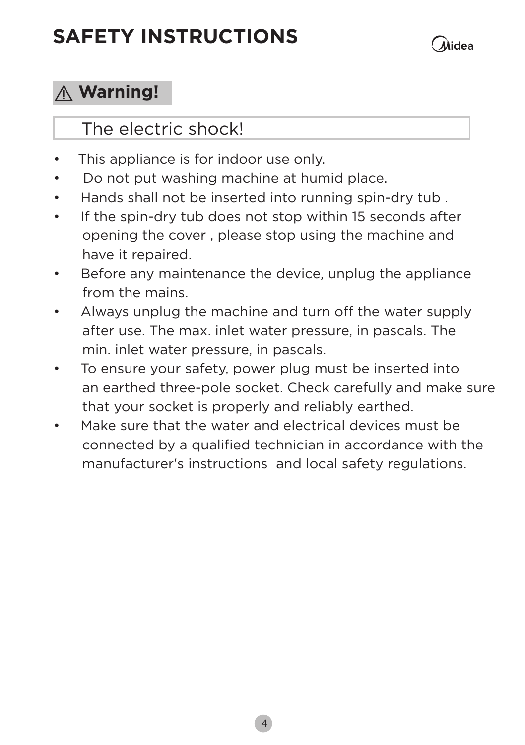## **Warning!**

#### **The electric shock!**

- **• This appliance is for indoor use only.**
- **Do not put washing machine at humid place.**
- **Hands shall not be inserted into running spin-dry tub .**
- **If the spin-dry tub does not stop within 15 seconds after opening the cover , please stop using the machine and have it repaired.**
- **Before any maintenance the device, unplug the appliance from the mains.**
- **Always unplug the machine and turn off the water supply after use. The max. inlet water pressure, in pascals. The min. inlet water pressure, in pascals.**
- **To ensure your safety, power plug must be inserted into an earthed three-pole socket. Check carefully and make sure that your socket is properly and reliably earthed.**
- **Make sure that the water and electrical devices must be connected by a qualified technician in accordance with the manufacturer's instructions and local safety regulations.**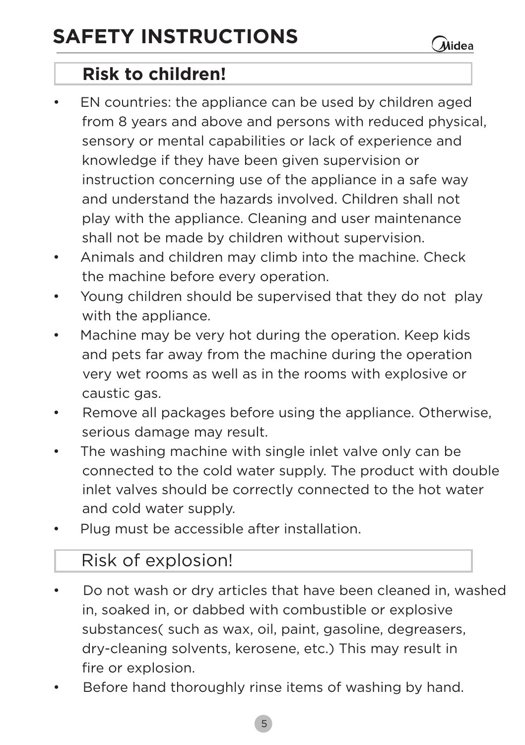**Risk to children!**

**• EN countries: the appliance can be used by children aged from 8 years and above and persons with reduced physical, sensory or mental capabilities or lack of experience and knowledge if they have been given supervision or instruction concerning use of the appliance in a safe way and understand the hazards involved. Children shall not play with the appliance. Cleaning and user maintenance shall not be made by children without supervision.**

 $\hat{\mathcal{M}}$ idea

- **Animals and children may climb into the machine. Check the machine before every operation.**
- **Young children should be supervised that they do not play with the appliance.**
- **Machine may be very hot during the operation. Keep kids and pets far away from the machine during the operation very wet rooms as well as in the rooms with explosive or caustic gas.**
- **Remove all packages before using the appliance. Otherwise, serious damage may result.**
- **The washing machine with single inlet valve only can be connected to the cold water supply. The product with double inlet valves should be correctly connected to the hot water and cold water supply.**
- **Plug must be accessible after installation.**

#### **Risk of explosion!**

- **Do not wash or dry articles that have been cleaned in, washed in, soaked in, or dabbed with combustible or explosive substances( such as wax, oil, paint, gasoline, degreasers, dry-cleaning solvents, kerosene, etc.) This may result in fire or explosion.**
- **Before hand thoroughly rinse items of washing by hand.**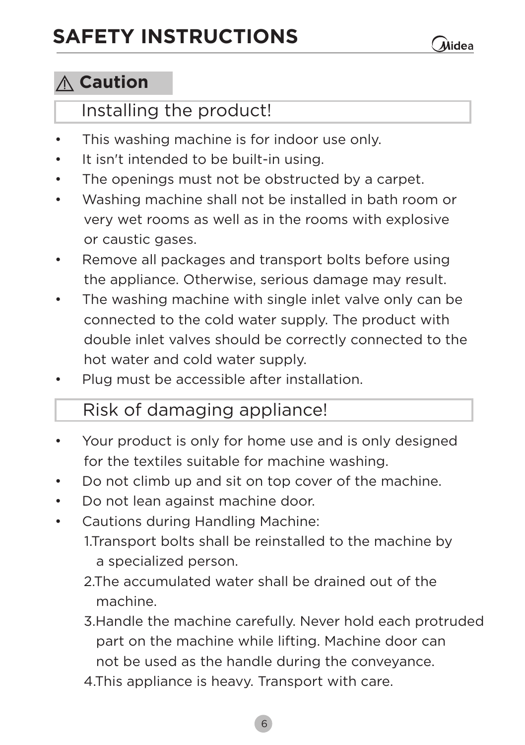#### **Caution**

#### **Installing the product!**

- **This washing machine is for indoor use only.**
- **It isn't intended to be built-in using.**
- **The openings must not be obstructed by a carpet.**
- **Washing machine shall not be installed in bath room or very wet rooms as well as in the rooms with explosive or caustic gases.**
- **Remove all packages and transport bolts before using the appliance. Otherwise, serious damage may result.**
- **The washing machine with single inlet valve only can be connected to the cold water supply. The product with double inlet valves should be correctly connected to the hot water and cold water supply.**
- **Plug must be accessible after installation.**

#### **Risk of damaging appliance!**

- **Your product is only for home use and is only designed for the textiles suitable for machine washing.**
- **Do not climb up and sit on top cover of the machine.**
- **Do not lean against machine door.**
- **Cautions during Handling Machine:**
	- **1.Transport bolts shall be reinstalled to the machine by a specialized person.**
	- **2.The accumulated water shall be drained out of the machine.**
	- **3.Handle the machine carefully. Never hold each protruded part on the machine while lifting. Machine door can not be used as the handle during the conveyance.**
	- **4.This appliance is heavy. Transport with care.**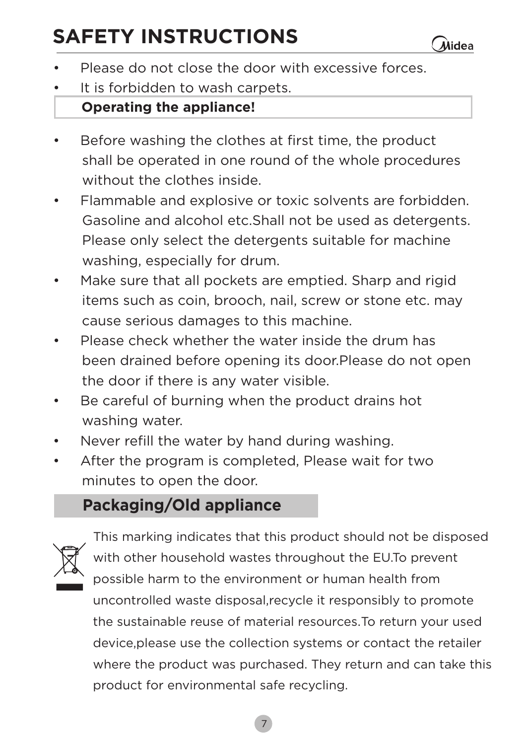# **SAFETY INSTRUCTIONS**

- **Please do not close the door with excessive forces.**
- **It is forbidden to wash carpets.**

#### **Operating the appliance!**

- **Before washing the clothes at first time, the product shall be operated in one round of the whole procedures without the clothes inside.**
- **Flammable and explosive or toxic solvents are forbidden. Gasoline and alcohol etc.Shall not be used as detergents. Please only select the detergents suitable for machine washing, especially for drum.**
- **Make sure that all pockets are emptied. Sharp and rigid items such as coin, brooch, nail, screw or stone etc. may cause serious damages to this machine.**
- **Please check whether the water inside the drum has been drained before opening its door.Please do not open the door if there is any water visible.**
- **Be careful of burning when the product drains hot washing water.**
- **Never refill the water by hand during washing.**
- **After the program is completed, Please wait for two minutes to open the door.**

#### **Packaging/Old appliance**



**This marking indicates that this product should not be disposed with other household wastes throughout the EU.To prevent possible harm to the environment or human health from uncontrolled waste disposal,recycle it responsibly to promote the sustainable reuse of material resources**.**To return your used device,please use the collection systems or contact the retailer where the product was purchased. They return and can take this product for environmental safe recycling.**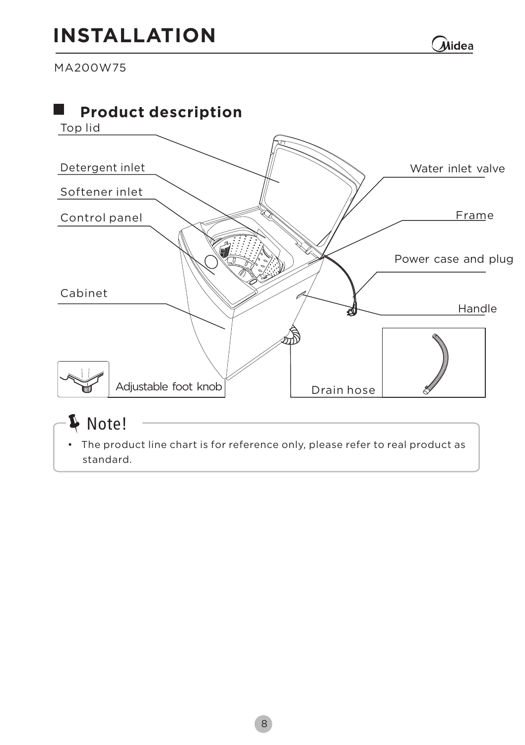# **INSTALLATION**

Midea

**MA200W75**

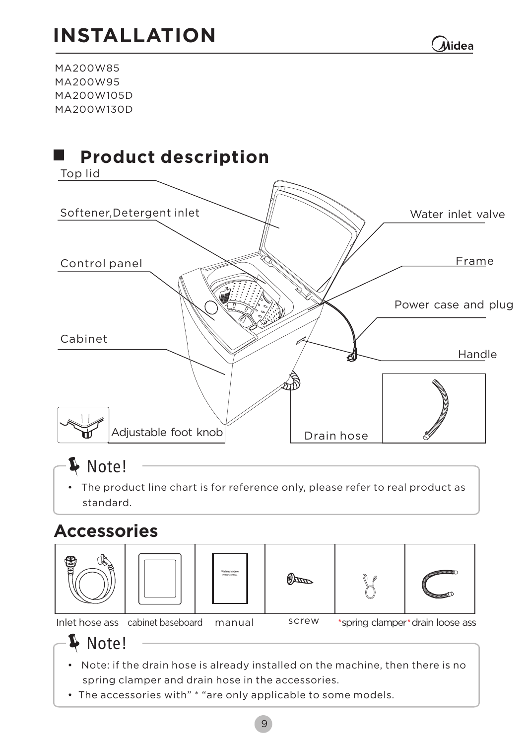# **INSTALLATION**

**Alidea** 

**MA200W85 MA200W95 MA200W105D MA200W130D**



## Note!

**• The product line chart is for reference only, please refer to real product as standard.**

#### **Accessories**





 $\mathbb{Z}$ 



**Inlet hose ass cabinet baseboard manual screw**

**spring clamper drain loose ass**

De Note!

- **Note: if the drain hose is already installed on the machine, then there is no spring clamper and drain hose in the accessories.**
- **The accessories with" \* "are only applicable to some models.**

abing Machin<br>Antoni Antonio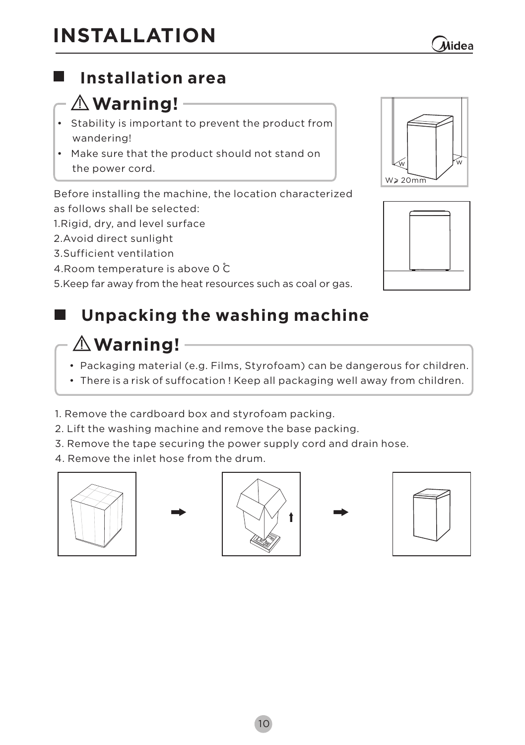**10**

## **Installation area**

#### $-\triangle$  Warning!  $-$

- **• Stability is important to prevent the product from wandering!**
- **Make sure that the product should not stand on the power cord.**

**Before installing the machine, the location characterized follows shall be selected: as** 

**1.Rigid, dry, and level surface** 

**2.Avoid direct sunlight**

**3.Sufficient ventilation**

**4.Room temperature is above 0 C**

**5.Keep far away from the heat resources such as coal or gas.**

#### **Unpacking the washing machine** . .

#### **Warning!**

- **•** Packaging material (e.g. Films, Styrofoam) can be dangerous for children.
- **•** There is a risk of suffocation ! Keep all packaging well away from children.
- **1. Remove the cardboard box and styrofoam packing.**
- **2. Lift the washing machine and remove the base packing.**
- **3. Remove the tape securing the power supply cord and drain hose.**
- **4. Remove the inlet hose from the drum.**













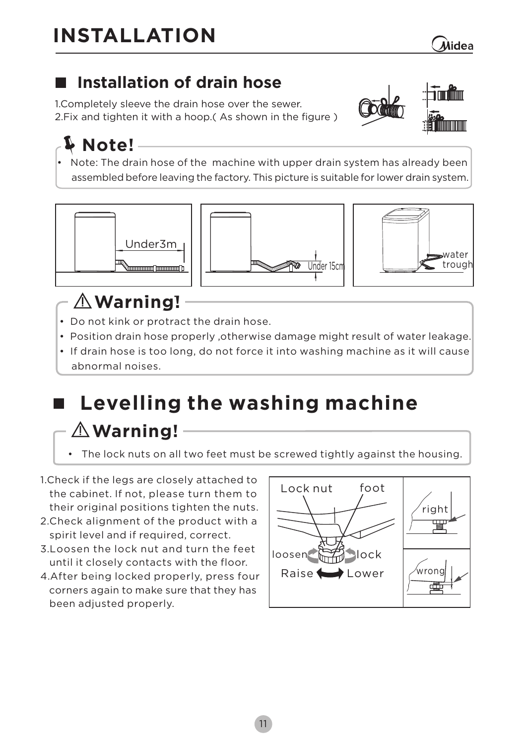# **INSTALLATION**

### **Installation of drain hose**

 **1.Completely sleeve the drain hose over the sewer. 2.Fix and tighten it with a hoop.( As shown in the figure )**

# **Note!**

**• Note: The drain hose of the machine with upper drain system has already been assembled before leaving the factory. This picture is suitable for lower drain system.**







# **WWaarrnniinngg!!**

- **Do not kink or protract the drain hose.**
- **• Position drain hose properly ,otherwise damage might result of water leakage.**
- **If drain hose is too long, do not force it into washing machine as it will cause abnormal noises.**

# **Levelling the washing machine Warning!**

- **The lock nuts on all two feet must be screwed tightly against the housing.**
- **1.Check if the legs are closely attached to the cabinet. If not, please turn them to their original positions tighten the nuts.**
- **2.Check alignment of the product with a spirit level and if required, correct.**
- **3.Loosen the lock nut and turn the feet until it closely contacts with the floor.**
- **4.After being locked properly, press four corners again to make sure that they has been adjusted properly.**

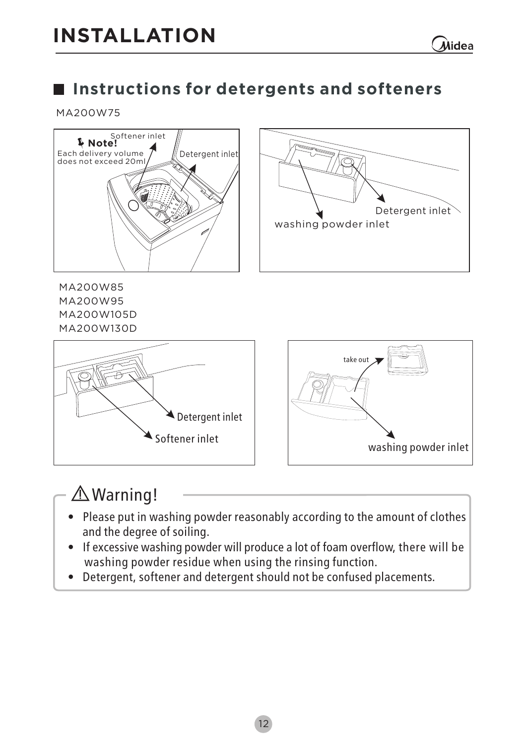#### **Instructions for detergents and softeners**

#### **MA200W75**



#### Warning!

- Please put in washing powder reasonably according to the amount of clothes and the degree of soiling.
- If excessive washing powder will produce a lot of foam overflow, there will be washing powder residue when using the rinsing function.
- Detergent, softener and detergent should not be confused placements.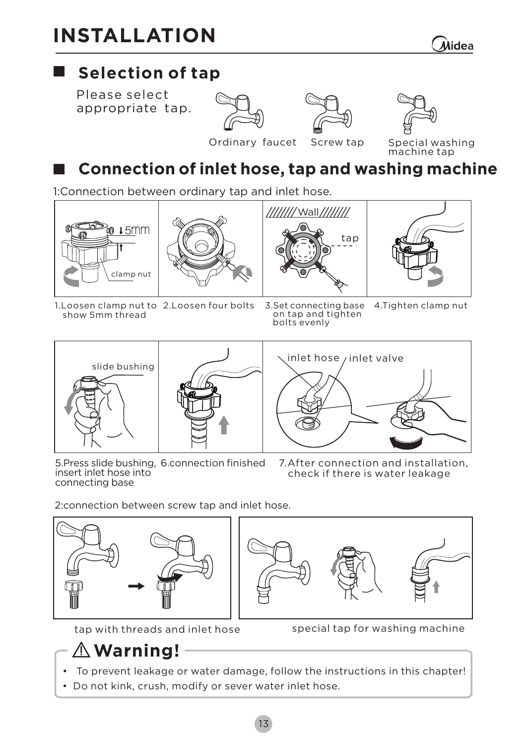# **INSTALLATION**

## **Selection of tap**

**Please select appropriate tap.**







**Ordinary faucet**

**Screw tap Special washing machine tap**

## **Connection of inlet hose, tap and washing machine**

**1:Connection between ordinary tap and inlet hose.**









**1.Loosen clamp nut to show 5mm thread**

**2.Loosen four bolts 3.Set connecting base on tap and tighten bolts evenly 4.Tighten clamp nut**



**5.Press slide bushing, insert inlet hose into connecting base** 

**inlet hose inlet valve**

**7.After connection and installation, check if there is water leakage**

**2:connection between screw tap and inlet hose.**







- **tap with threads and inlet hose special tap for washing machine**
- **To prevent leakage or water damage, follow the instructions in this chapter !**
- **•** Do not kink, crush, modify or sever water inlet hose.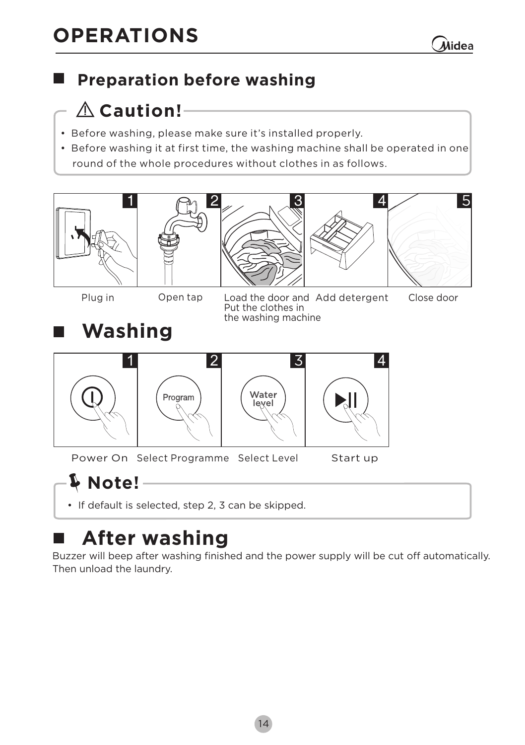

**5**

#### **Preparation before washing**

## **Caution!**

- $\parallel$  Before washing, please make sure it's installed properly.
- **Before washing it at first time, the washing machine shall be operated in one |** round of the whole procedures without clothes in as follows.









**Plug in Open tap Add detergent Load the door and Close door Put the clothes in the washing machine** 





**Power On Start up Select Programme Select Level**

# **Note!**

**• If default is selected, step 2, 3 can be skipped.**

# **After washing**

**Buzzer will beep after washing finished and the power supply will be cut off automatically . Then unload the laundry.**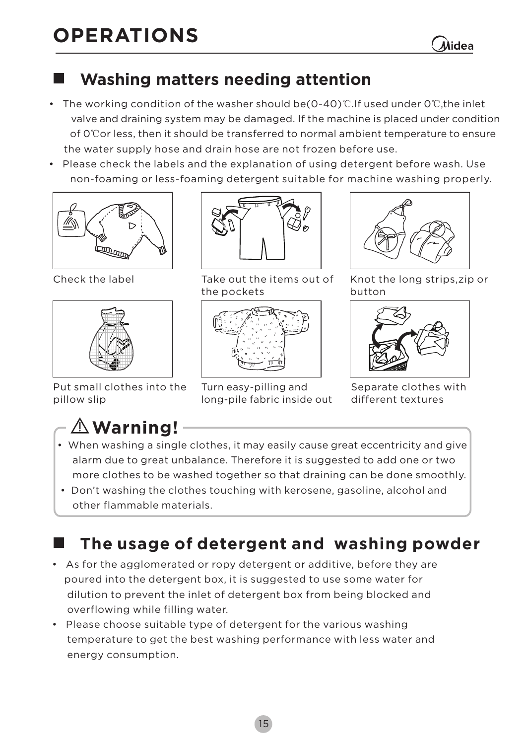Alidea

#### **Washing matters needing attention**

- **• The working condition of the washer should be(0**-**40)**℃**.If used under 0**℃**,the inlet valve and draining system may be damaged. If the machine is placed under condition of 0**℃**or less, then it should be transferred to normal ambient temperature to ensure the water supply hose and drain hose are not frozen before use.**
- **• Please check the labels and the explanation of using detergent before wash. Use non-foaming or less-foaming detergent suitable for machine washing properly.**



 **Check the label**



 **Put small clothes into the pillow slip** 



**Take out the items out of the pockets**



**Turn easy-pilling and long-pile fabric inside out** 

**Knot the long strips,zip or button** 



**Separate clothes with different textures**

# **Warning!**

×.

- **When washing a single clothes, it may easily cause great eccentricity and give alarm due to great unbalance. Therefore it is suggested to add one or two more clothes to be washed together so that draining can be done smoothly.**
- **Don't washing the clothes touching with kerosene, gasoline, alcohol and other flammable materials.**

### **The usage of detergent and washing powder**

- **As for the agglomerated or ropy detergent or additive, before they are poured the detergent box, it is suggested to use some water for into dilution to prevent inlet of detergent box from being blocked and the overflowing while filling water.**
- **Please choose suitable type of detergent for the various washing temperature to get the best washing performance with less water and energy consumption.**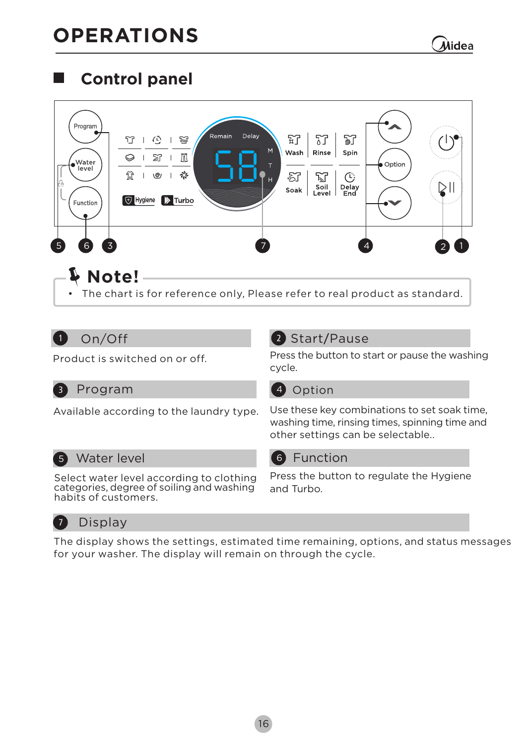#### **Control panel**  ш

| Program<br>Water<br>level<br>Function | Delay<br>Remain<br>竹<br>悫<br>⊙<br>M<br>M<br>X<br>⊝<br>愁<br>N<br>V<br>н<br>+ Hygiene<br>$\triangleright$ Turbo | 57<br>IJ<br>钌<br>Wash<br>Rinse<br>Spin<br>නි<br>V<br>(۲)<br>Soil<br>Level<br>Delay<br>Soak<br>End | Option |  |
|---------------------------------------|---------------------------------------------------------------------------------------------------------------|---------------------------------------------------------------------------------------------------|--------|--|
| $\overline{3}$<br>5<br>6              | Note!<br>• The chart is for reference only, Please refer to real product as standard.                         |                                                                                                   |        |  |

#### 1 1 **On/Off**

**Product is switched on or off.**

#### 2 Start/Pause

**Press the button to start or pause the washing cycle.**

#### **Program 4** Option **3** Program

**Available according to the laundry type.**

**Use these key combinations to set soak time, . other settings can be selectable.washing time, rinsing times, spinning time and**

**5 Water level C G** Function

**Select water level according to clothing categories, degree of soiling and washing habits of customers.**

**Press the button to regulate the Hygiene and Turbo.**

#### 7 **Display**

**The display shows the settings, estimated time remaining, options, and status messages for your washer. The display will remain on through the cycle.**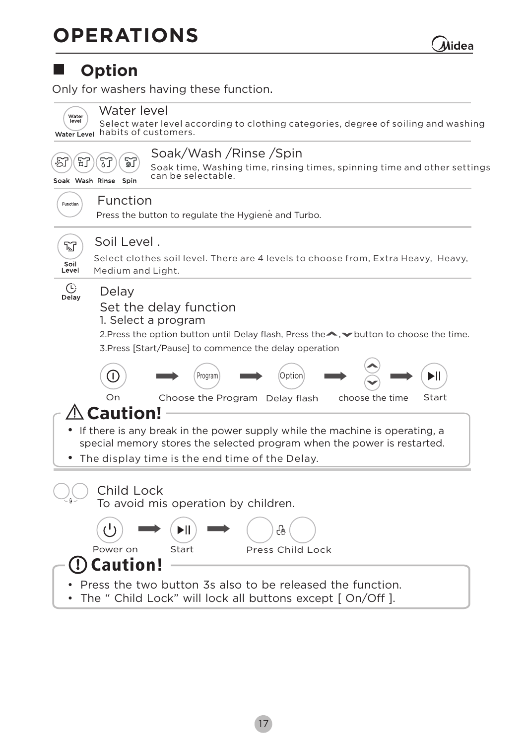Úidea

#### **Option**

**Only for washers having these function.** 

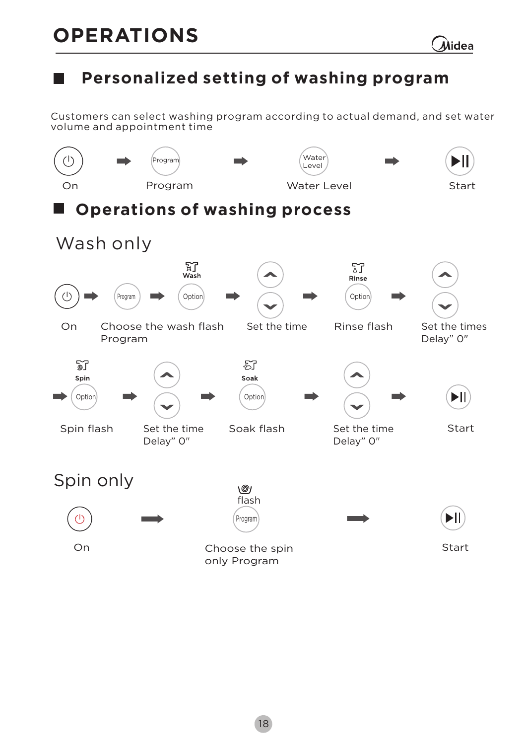#### **Personalized setting of washing program**

**Customers can select washing program according to actual demand, and set water volume and appointment time**

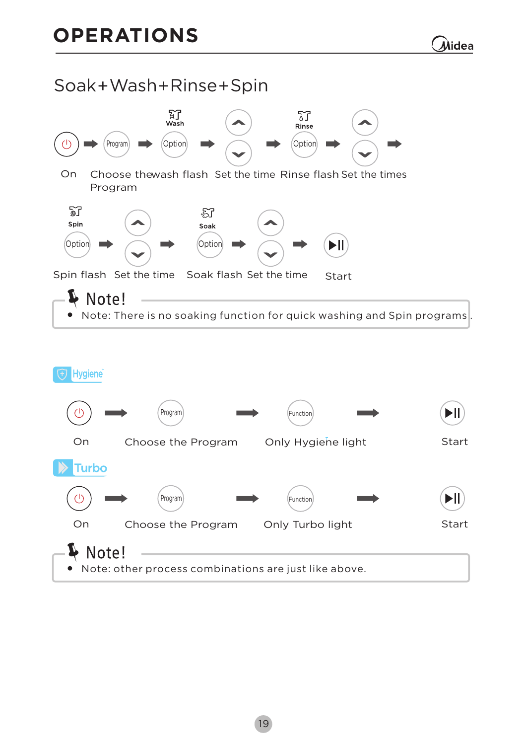#### **Soak**+**Wash**+**Rinse**+**Spin**



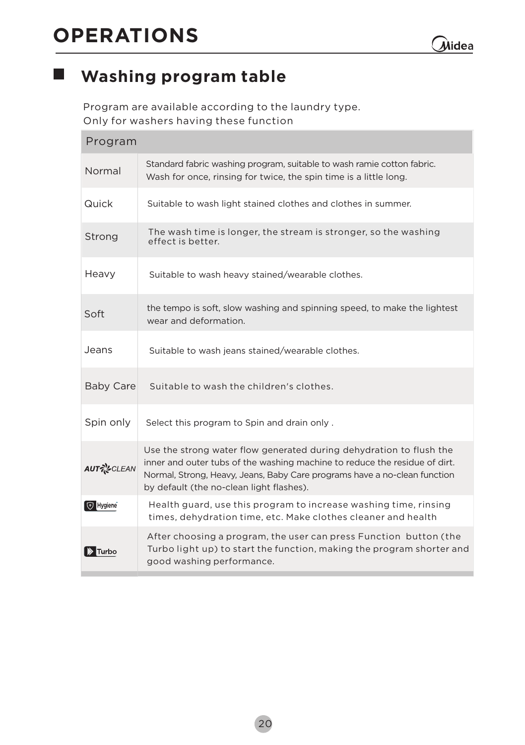$\overline{\phantom{a}}$ 

#### **Washing program table**

**Program are available according to the laundry type. Only for washers having these function**

| Program                |                                                                                                                                                                                                                                                                            |
|------------------------|----------------------------------------------------------------------------------------------------------------------------------------------------------------------------------------------------------------------------------------------------------------------------|
| Normal                 | Standard fabric washing program, suitable to wash ramie cotton fabric.<br>Wash for once, rinsing for twice, the spin time is a little long.                                                                                                                                |
| Quick                  | Suitable to wash light stained clothes and clothes in summer.                                                                                                                                                                                                              |
| Strong                 | The wash time is longer, the stream is stronger, so the washing<br>effect is better.                                                                                                                                                                                       |
| Heavy                  | Suitable to wash heavy stained/wearable clothes.                                                                                                                                                                                                                           |
| Soft                   | the tempo is soft, slow washing and spinning speed, to make the lightest<br>wear and deformation.                                                                                                                                                                          |
| Jeans                  | Suitable to wash jeans stained/wearable clothes.                                                                                                                                                                                                                           |
| <b>Baby Care</b>       | Suitable to wash the children's clothes.                                                                                                                                                                                                                                   |
| Spin only              | Select this program to Spin and drain only.                                                                                                                                                                                                                                |
| <b>AUT ~ CLEAN</b>     | Use the strong water flow generated during dehydration to flush the<br>inner and outer tubs of the washing machine to reduce the residue of dirt.<br>Normal, Strong, Heavy, Jeans, Baby Care programs have a no-clean function<br>by default (the no-clean light flashes). |
| Hygiene                | Health guard, use this program to increase washing time, rinsing<br>times, dehydration time, etc. Make clothes cleaner and health                                                                                                                                          |
| $\triangleright$ Turbo | After choosing a program, the user can press Function button (the<br>Turbo light up) to start the function, making the program shorter and<br>good washing performance.                                                                                                    |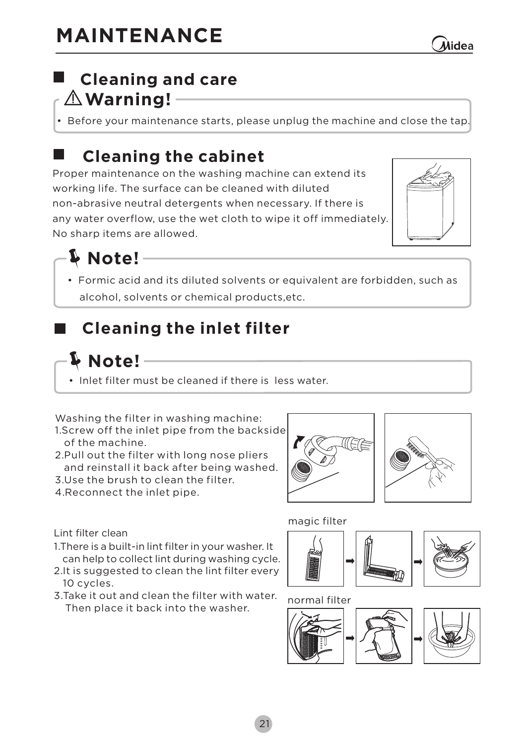#### **Warning! Cleaning and care**

**• Before your maintenance starts, please unplug the machine and close the tap.**

### **Cleaning the cabinet**

**Proper maintenance on the washing machine can extend its working life. The surface can be cleaned with diluted non-abrasive neutral detergents when necessary. If there is any water overflow, use the wet cloth to wipe it off immediately. No sharp items are allowed.**



**Note!**

**Formic acid and its diluted solvents or equivalent are forbidden, such as • solvents or chemical products,etc. alcohol,** 

## **Cleaning the inlet filter**

#### **Note!**

**• Inlet filter must be cleaned if there is less water.**

**Washing the filter in washing machine:**

- **1.Screw off the inlet pipe from the backside of the machine.**
- **2.Pull out the filter with long nose pliers and reinstall it back after being washed.**
- **3.Use to clean the filter. the brush**
- **4.Reconnect the inlet pipe.**





**magic filter**



**normal filter**



**Lint filter clean**

- **1.There is a built-in lint filter in your washer. It can help to collect lint during washing cycle.**
- **2.It is suggested to clean the lint filter every 10 cycles.**
- **3.Take it out and clean the filter with water. Then place it back into the washer.**

Alidea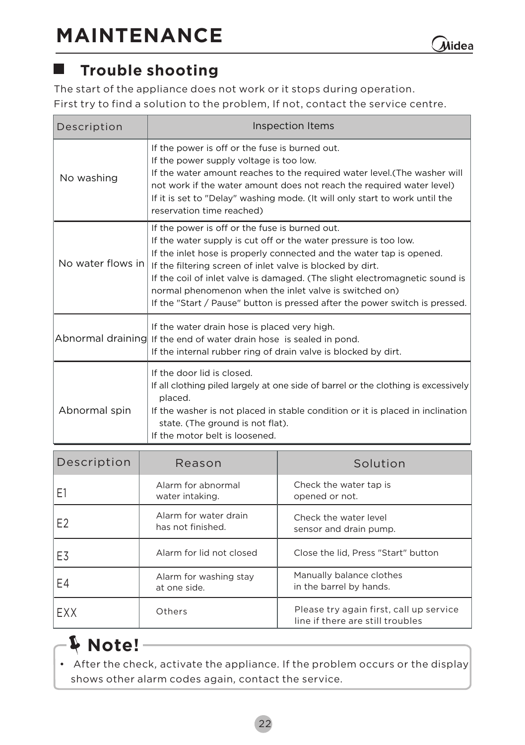#### **Trouble shooting**

**The start of the appliance does not work or it stops during operation**. **First try to find a solution to the problem, If not**, **contact the service centre**.

| Description       | Inspection Items                                                                                                                                                                                                                                                                                                                                                                                                                                                                 |  |  |
|-------------------|----------------------------------------------------------------------------------------------------------------------------------------------------------------------------------------------------------------------------------------------------------------------------------------------------------------------------------------------------------------------------------------------------------------------------------------------------------------------------------|--|--|
| No washing        | If the power is off or the fuse is burned out.<br>If the power supply voltage is too low.<br>If the water amount reaches to the required water level. (The washer will<br>not work if the water amount does not reach the required water level)<br>If it is set to "Delay" washing mode. (It will only start to work until the<br>reservation time reached)                                                                                                                      |  |  |
| No water flows in | If the power is off or the fuse is burned out.<br>If the water supply is cut off or the water pressure is too low.<br>If the inlet hose is properly connected and the water tap is opened.<br>If the filtering screen of inlet valve is blocked by dirt.<br>If the coil of inlet valve is damaged. (The slight electromagnetic sound is<br>normal phenomenon when the inlet valve is switched on)<br>If the "Start / Pause" button is pressed after the power switch is pressed. |  |  |
|                   | If the water drain hose is placed very high.<br>Abnormal draining If the end of water drain hose is sealed in pond.<br>If the internal rubber ring of drain valve is blocked by dirt.                                                                                                                                                                                                                                                                                            |  |  |
| Abnormal spin     | If the door lid is closed.<br>If all clothing piled largely at one side of barrel or the clothing is excessively<br>placed.<br>If the washer is not placed in stable condition or it is placed in inclination<br>state. (The ground is not flat).<br>If the motor belt is loosened.                                                                                                                                                                                              |  |  |

| Description | Reason                                     | Solution                                                                    |
|-------------|--------------------------------------------|-----------------------------------------------------------------------------|
| F1          | Alarm for abnormal<br>water intaking.      | Check the water tap is<br>opened or not.                                    |
| F2          | Alarm for water drain<br>has not finished. | Check the water level<br>sensor and drain pump.                             |
| F3          | Alarm for lid not closed                   | Close the lid, Press "Start" button                                         |
| E4          | Alarm for washing stay<br>at one side.     | Manually balance clothes<br>in the barrel by hands.                         |
| <b>FXX</b>  | Others                                     | Please try again first, call up service<br>line if there are still troubles |

# **Note!**

**•** After the check, activate the appliance. If the problem occurs or the display **shows other alarm codes again***,* **contact the service.**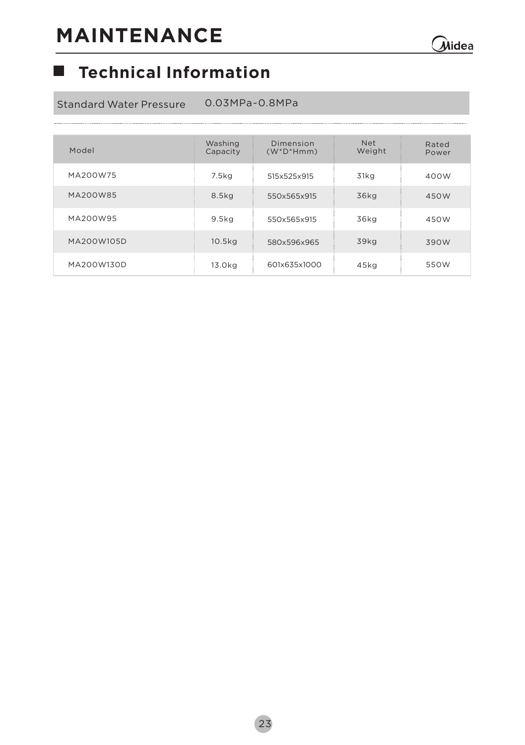#### **Technical Information**

**Standard Water Pressure 0.03MPa~0.8MPa**

| Model      | Washing<br>Capacity | Dimension<br>$(W^*D^*Hmm)$ | <b>Net</b><br>Weight | Rated<br>Power |
|------------|---------------------|----------------------------|----------------------|----------------|
| MA200W75   | 7.5kg               | 515x525x915                | 31kg                 | 400W           |
| MA200W85   | 8.5kg               | 550x565x915                | 36kg                 | 450W           |
| MA200W95   | 9.5kg               | 550x565x915                | 36kg                 | 450W           |
| MA200W105D | 10.5kg              | 580x596x965                | 39kg                 | 390W           |
| MA200W130D | 13.0kg              | 601x635x1000               | 45kg                 | 550W           |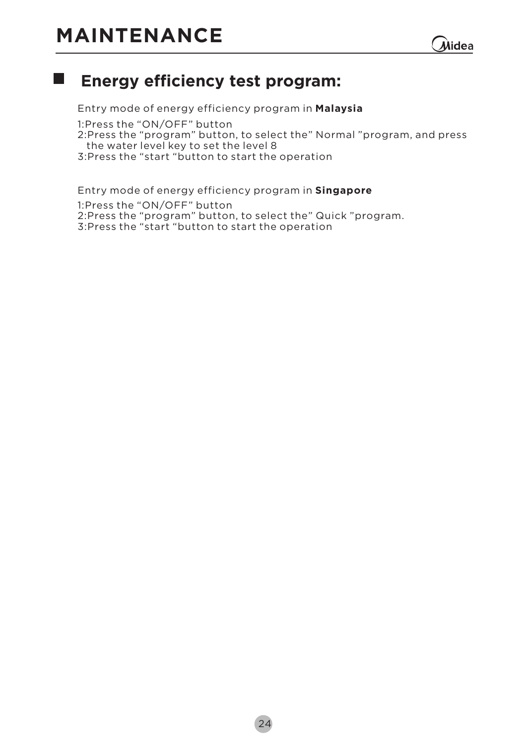# **MAINTENANCE**



#### $\mathcal{L}_{\mathcal{A}}$ **Energy efficiency test program:**

**1: Press the "ON/OFF" button 2:Press the "program" button, to select the" Normal "program, and press the water level key to set the level 8 3:Press the "start "button to start the operation Entry mode of energy efficiency program in Malaysia**

**Entry mode of energy efficiency program in Singapore 1: Press the "ON/OFF" button 2:Press the "program" button, to select the" Quick "program. 3:Press the "start "button to start the operation**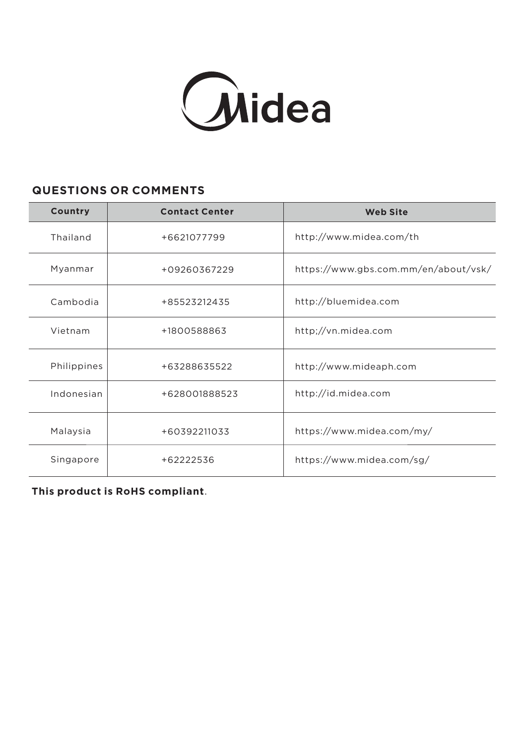

#### **QUESTIONS OR COMMENTS**

| Country     | <b>Contact Center</b> | <b>Web Site</b>                      |
|-------------|-----------------------|--------------------------------------|
| Thailand    | +6621077799           | http://www.midea.com/th              |
| Myanmar     | +09260367229          | https://www.gbs.com.mm/en/about/vsk/ |
| Cambodia    | +85523212435          | http://bluemidea.com                 |
| Vietnam     | +1800588863           | http;//vn.midea.com                  |
| Philippines | +63288635522          | http://www.mideaph.com               |
| Indonesian  | +628001888523         | http://id.midea.com                  |
| Malaysia    | +60392211033          | https://www.midea.com/my/            |
| Singapore   | +62222536             | https://www.midea.com/sg/            |

**This product is RoHS compliant**.